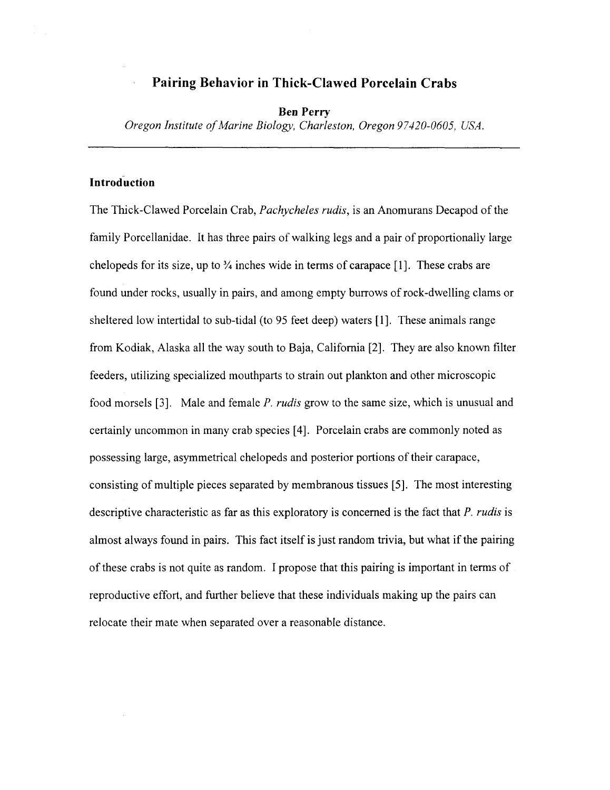# **Pairing Behavior in Thick-Clawed Porcelain Crabs**

## **Ben Perry**

*Oregon Institute of Marine Biology, Charleston, Oregon 97420-0605, USA.* 

# **~ntroduction**

The Thick-Clawed Porcelain Crab, *Pachycheles rudis,* is an Anomurans Decapod of the family Porcellanidae. It has three pairs of walking legs and a pair of proportionally large chelopeds for its size, up to  $\frac{3}{4}$  inches wide in terms of carapace [1]. These crabs are found under rocks, usually in pairs, and among empty burrows of rock-dwelling clams or sheltered low intertidal to sub-tidal (to 95 feet deep) waters [I]. These animals range from Kodiak, Alaska all the way south to Baja, California [2]. They are also known filter feeders, utilizing specialized mouthparts to strain out plankton and other microscopic food morsels [3]. Male and female P. *rudis* grow to the same size, which is unusual and certainly uncommon in many crab species [4]. Porcelain crabs are commonly noted as possessing large, asymmetrical chelopeds and posterior portions of their carapace, consisting of multiple pieces separated by membranous tissues *[5].* The most interesting descriptive characteristic as far as this exploratory is concerned is the fact that *P. rudis* is almost always found in pairs. This fact itself is just random trivia, but what if the pairing of these crabs is not quite as random. I propose that this pairing is important in terms of reproductive effort, and further believe that these individuals making up the pairs can relocate their mate when separated over a reasonable distance.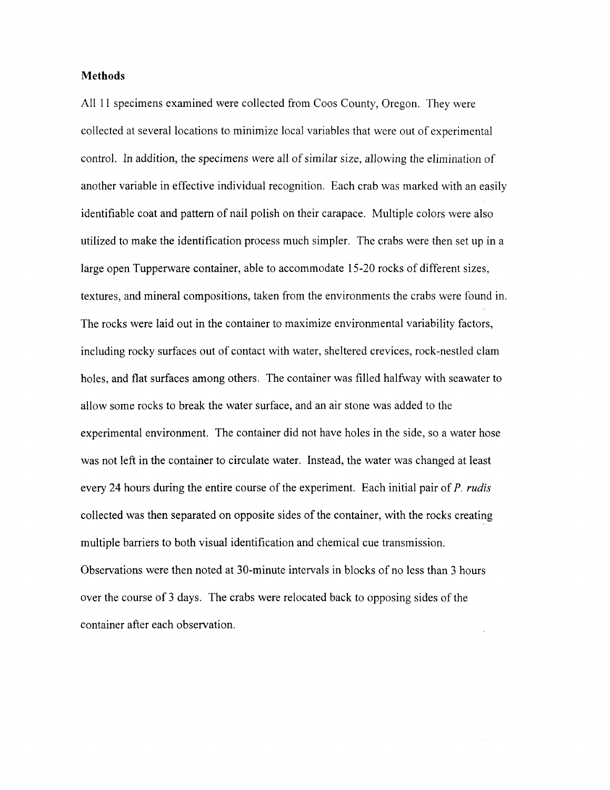## **Methods**

All 11 specimens examined were collected from Coos County, Oregon. They were collected at several locations to minimize local variables that were out of experimental control. In addition, the specimens were all of similar size, allowing the elimination of another variable in effective individual recognition. Each crab was marked with an easily identifiable coat and pattern of nail polish on their carapace. Multiple colors were also utilized to make the identification process much simpler. The crabs were then set up in a large open Tupperware container, able to accommodate 15-20 rocks of different sizes, textures, and mineral compositions, taken from the environments the crabs were found in. The rocks were laid out in the container to maximize environmental variability factors, including rocky surfaces out of contact with water, sheltered crevices, rock-nestled clam holes, and flat surfaces among others. The container was filled halfway with seawater to allow some rocks to break the water surface, and an air stone was added to the experimental environment. The container did not have holes in the side, so a water hose was not left in the container to circulate water. Instead, the water was changed at least every 24 hours during the entire course of the experiment. Each initial pair of P. **rudis**  collected was then separated on opposite sides of the container, with the rocks creating multiple barriers to both visual identification and chemical cue transmission. Observations were then noted at 30-minute intervals in blocks of no less than 3 hours over the course of 3 days. The crabs were relocated back to opposing sides of the container after each observation.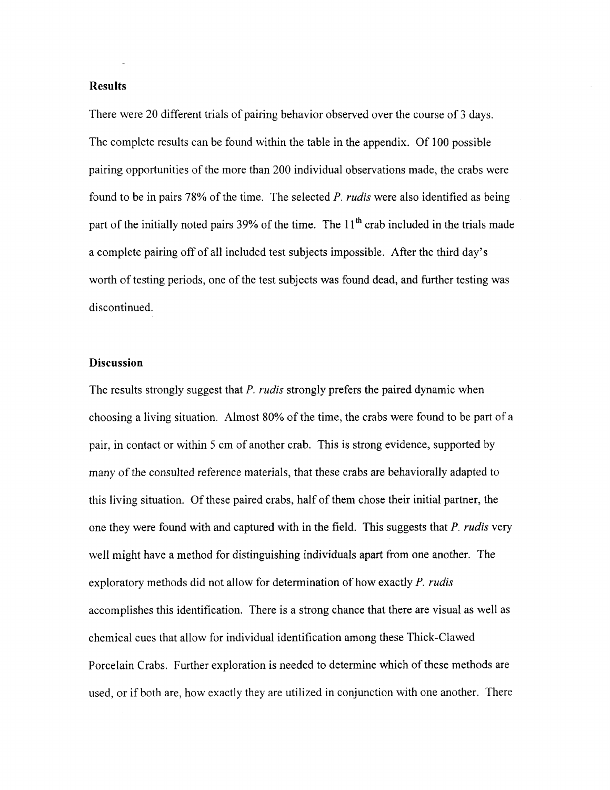## Results

There were 20 different trials of pairing behavior observed over the course of 3 days. The complete results can be found within the table in the appendix. Of 100 possible pairing opportunities of the more than 200 individual observations made, the crabs were found to be in pairs 78% of the time. The selected P. *rudis* were also identified as being part of the initially noted pairs  $39\%$  of the time. The  $11<sup>th</sup>$  crab included in the trials made a complete pairing off of all included test subjects impossible. After the third day's worth of testing periods, one of the test subjects was found dead, and further testing was discontinued.

## Discussion

The results strongly suggest that P. *rudis* strongly prefers the paired dynamic when choosing a living situation. Almost 80% of the time, the crabs were found to be part of a pair, in contact or within 5 cm of another crab. This is strong evidence, supported by many of the consulted reference materials, that these crabs are behaviorally adapted to this living situation. Of these paired crabs, half of them chose their initial partner, the one they were found with and captured with in the field. This suggests that P. *rudis* very well might have a method for distinguishing individuals apart from one another. The exploratory methods did not allow for determination of how exactly P. *rudis*  accomplishes this identification. There is a strong chance that there are visual as well as chemical cues that allow for individual identification among these Thick-Clawed Porcelain Crabs. Further exploration is needed to determine which of these methods are used, or if both are, how exactly they are utilized in conjunction with one another. There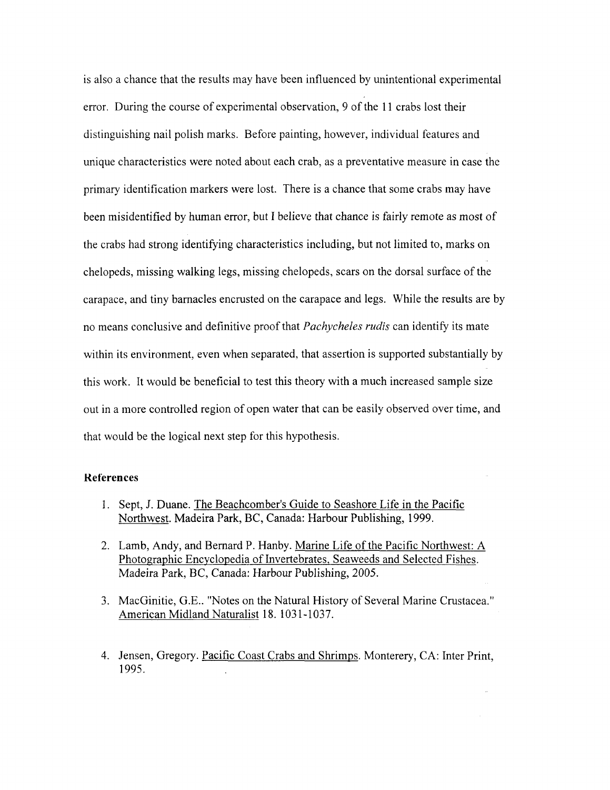is also a chance that the results may have been influenced by unintentional experimental error. During the course of experimental observation, 9 of the 11 crabs lost their distinguishing nail polish marks. Before painting, however, individual features and unique characteristics were noted about each crab, as a preventative measure in case the primary identification markers were lost. There is a chance that some crabs may have been misidentified by human error, but I believe that chance is fairly remote as most of the crabs had strong identifying characteristics including, but not limited to, marks on chelopeds, missing walking legs, missing chelopeds, scars on the dorsal surface of the carapace, and tiny barnacles encrusted on the carapace and legs. While the results are by no means conclusive and definitive proof that *Pachycheles rudis* can identify its mate within its environment, even when separated, that assertion is supported substantially by this work. It would be beneficial to test this theory with a much increased sample size out in a more controlled region of open water that can be easily observed over time, and that would be the logical next step for this hypothesis.

#### **Keferences**

- I. Sept, J. Duane. The Beachcomber's Guide to Seashore Life in the Pacific Northwest. Madeira Park, BC, Canada: Harbour Publishing, 1999.
- 2. Lamb, Andy, and Bernard P. Hanby. Marine Life of the Pacific Northwest: A Photographic Encyclopedia of Invertebrates, Seaweeds and Selected Fishes. Madeira Park, BC, Canada: Harbour Publishing, 2005.
- 3. MacGinitie, G.E.. "Notes on the Natural History of Several Marine Crustacea." American Midland Naturalist 18. 1031-1037.
- 4. Jensen, Gregory. Pacific Coast Crabs and Shrimps. Monterery, CA: Inter Print, 1995.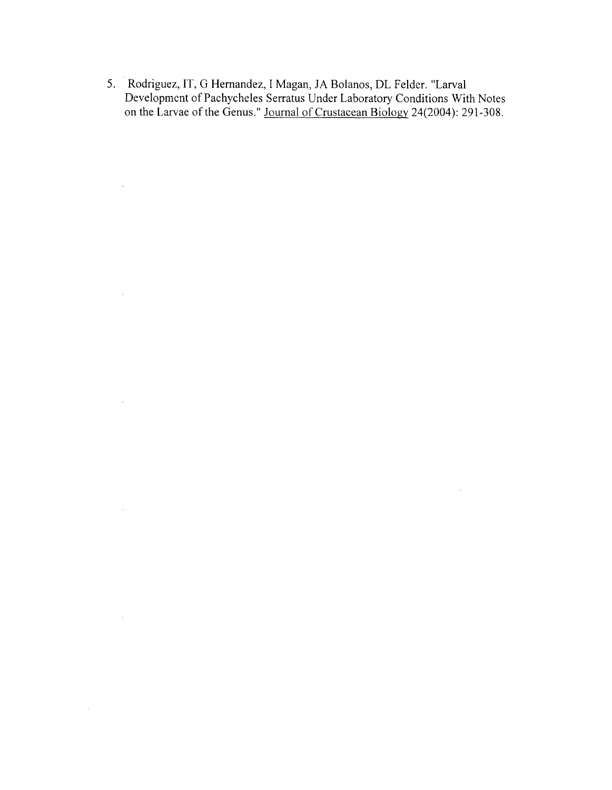**5.** Rodriguez, IT, G Hernandez, I Magan, JA Bolanos, DL Felder. "Larval Development of Pachycheles Serratus Under Laboratory Conditions With Notes on the Larvae of the Genus." Journal of Crustacean Biology 24(2004): 291-308.

 $\sim 10^{11}$  km  $^{-1}$ 

 $\sim$ 

 $\mathcal{L}_{\rm{eff}}$ 

 $\sim 10^{-11}$ 

 $\hat{\mathcal{L}}_{\text{max}}$ 

 $\sim 10^6$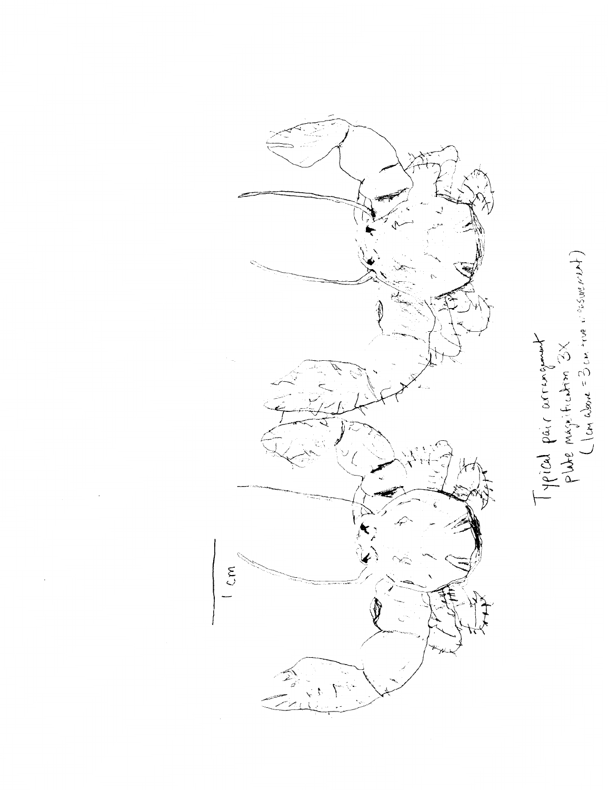

Typical pair acrement<br>plate magification 3X<br>(lon above = 3 cm ine a essecret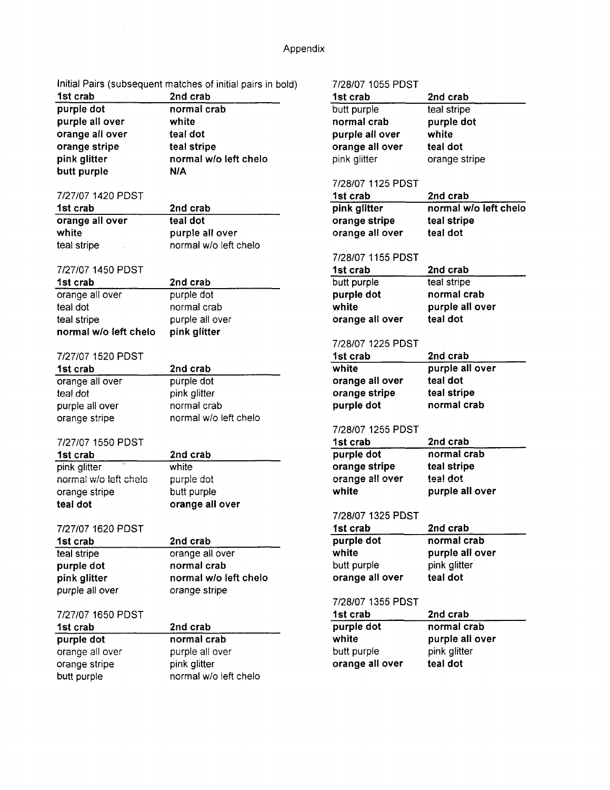Initial Pairs (subsequent matches of initial pairs in bold) 7/28/07 1055 PDST

| 2nd crab              |
|-----------------------|
| normal crab           |
| white                 |
| teal dot              |
| teal stripe           |
| normal w/o left chelo |
| <b>N/A</b>            |
|                       |

## 7/27/07 1420 PDST

| 1st crab        | 2nd crab              |
|-----------------|-----------------------|
| orange all over | teal dot              |
| white           | purple all over       |
| teal stripe     | normal w/o left chelo |

### 7/27/07 1450 PDST

| 1st crab              | 2nd crab        |
|-----------------------|-----------------|
| orange all over       | purple dot      |
| teal dot              | normal crab     |
| teal stripe           | purple all over |
| normal w/o left chelo | pink glitter    |
|                       |                 |

# 7/27/07 1520 PDST

| 2nd crab              |
|-----------------------|
| purple dot            |
| pink glitter          |
| normal crab           |
| normal w/o left chelo |
|                       |

## 7/27/07 1550 PDST

| 1st crab              | 2nd crab        |
|-----------------------|-----------------|
| 31.6<br>pink glitter  | white           |
| normal w/o left chelo | purple dot      |
| orange stripe         | butt purple     |
| teal dot              | orange all over |

## 7/27/07 1620 PDST

| 1st crab        | 2nd crab              |
|-----------------|-----------------------|
| teal stripe     | orange all over       |
| purple dot      | normal crab           |
| pink glitter    | normal w/o left chelo |
| purple all over | orange stripe         |
|                 |                       |

# 7/27/07 1650 PDST

| 1st crab        | 2nd crab              |
|-----------------|-----------------------|
| purple dot      | normal crab           |
| orange all over | purple all over       |
| orange stripe   | pink glitter          |
| butt purple     | normal w/o left chelo |

| 1120101 1000 I D  |                       |
|-------------------|-----------------------|
| 1st crab          | 2nd crab              |
| butt purple       | teal stripe           |
| normal crab       | purple dot            |
| purple all over   | white                 |
| orange all over   | teal dot              |
| pink glitter      | orange stripe         |
|                   |                       |
| 7/28/07 1125 PDST |                       |
| 1st crab          | 2nd crab              |
| pink glitter      | normal w/o left chelo |
| orange stripe     | teal stripe           |
| orange all over   | teal dot              |
|                   |                       |
| 7/28/07 1155 PDST |                       |
| 1st crab          | 2nd crab              |
| butt purple       | teal stripe           |
| purple dot        | normal crab           |
| white             | purple all over       |
| orange all over   | teal dot              |
|                   |                       |
| 7/28/07 1225 PDST |                       |
| 1st crab          | 2nd crab              |
| white             | purple all over       |
| orange all over   | teal dot              |
| orange stripe     | teal stripe           |
| purple dot        | normal crab           |
|                   |                       |
| 7/28/07 1255 PDST |                       |
| 1st crab          | 2nd crab              |
| purple dot        | normal crab           |
| orange stripe     | teal stripe           |
| orange all over   | teal dot              |
| white             | purple all over       |
|                   |                       |
| 7/28/07 1325 PDST |                       |
| 1st crab          | 2nd crab              |
| purple dot        | normal crab           |
| white             | purple all over       |
| butt purple       | pink glitter          |
| orange all over   | teal dot              |
|                   |                       |
| 7/28/07 1355 PDST |                       |
| 1st crab          | 2nd crab              |
| purple dot        | normal crab           |
| white             | purple all over       |
| butt purple       | pink glitter          |
| orange all over   | teal dot              |
|                   |                       |